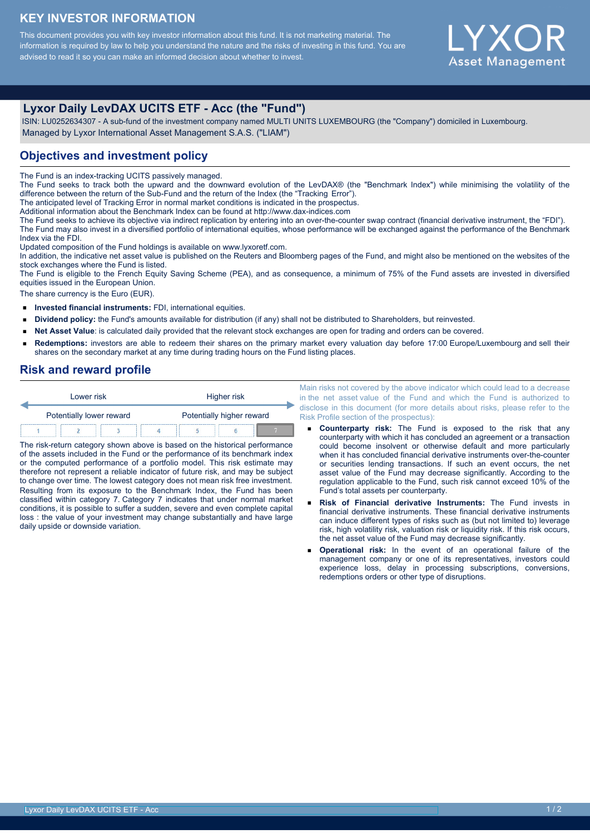## **KEY INVESTOR INFORMATION**

This document provides you with key investor information about this fund. It is not marketing material. The information is required by law to help you understand the nature and the risks of investing in this fund. You are advised to read it so you can make an informed decision about whether to invest.



# **Lyxor Daily LevDAX UCITS ETF - Acc (the "Fund")**

 ISIN: LU0252634307 - A sub-fund of the investment company named MULTI UNITS LUXEMBOURG (the "Company") domiciled in Luxembourg. Managed by Lyxor International Asset Management S.A.S. ("LIAM")

#### **Objectives and investment policy**

The Fund is an index-tracking UCITS passively managed.

The Fund seeks to track both the upward and the downward evolution of the LevDAX® (the "Benchmark Index") while minimising the volatility of the difference between the return of the Sub-Fund and the return of the Index (the "Tracking Error").

The anticipated level of Tracking Error in normal market conditions is indicated in the prospectus.

Additional information about the Benchmark Index can be found at http://www.dax-indices.com

The Fund seeks to achieve its objective via indirect replication by entering into an over-the-counter swap contract (financial derivative instrument, the "FDI"). The Fund may also invest in a diversified portfolio of international equities, whose performance will be exchanged against the performance of the Benchmark Index via the FDI.

Updated composition of the Fund holdings is available on www.lyxoretf.com.

In addition, the indicative net asset value is published on the Reuters and Bloomberg pages of the Fund, and might also be mentioned on the websites of the stock exchanges where the Fund is listed.

The Fund is eligible to the French Equity Saving Scheme (PEA), and as consequence, a minimum of 75% of the Fund assets are invested in diversified equities issued in the European Union.

The share currency is the Euro (EUR).

- $\blacksquare$ **Invested financial instruments:** FDI, international equities.
- $\blacksquare$ **Dividend policy:** the Fund's amounts available for distribution (if any) shall not be distributed to Shareholders, but reinvested.
- **Net Asset Value**: is calculated daily provided that the relevant stock exchanges are open for trading and orders can be covered.  $\blacksquare$
- **Redemptions:** investors are able to redeem their shares on the primary market every valuation day before 17:00 Europe/Luxembourg and sell their  $\blacksquare$ shares on the secondary market at any time during trading hours on the Fund listing places.

#### **Risk and reward profile**

| Lower risk               |  |  | Higher risk               |  |  |  |
|--------------------------|--|--|---------------------------|--|--|--|
| Potentially lower reward |  |  | Potentially higher reward |  |  |  |
|                          |  |  |                           |  |  |  |

The risk-return category shown above is based on the historical performance of the assets included in the Fund or the performance of its benchmark index or the computed performance of a portfolio model. This risk estimate may therefore not represent a reliable indicator of future risk, and may be subject to change over time. The lowest category does not mean risk free investment. Resulting from its exposure to the Benchmark Index, the Fund has been classified within category 7. Category 7 indicates that under normal market conditions, it is possible to suffer a sudden, severe and even complete capital loss : the value of your investment may change substantially and have large daily upside or downside variation.

Main risks not covered by the above indicator which could lead to a decrease in the net asset value of the Fund and which the Fund is authorized to disclose in this document (for more details about risks, please refer to the Risk Profile section of the prospectus):

- **Counterparty risk:** The Fund is exposed to the risk that any counterparty with which it has concluded an agreement or a transaction could become insolvent or otherwise default and more particularly when it has concluded financial derivative instruments over-the-counter or securities lending transactions. If such an event occurs, the net asset value of the Fund may decrease significantly. According to the regulation applicable to the Fund, such risk cannot exceed 10% of the Fund's total assets per counterparty.
- **Risk of Financial derivative Instruments:** The Fund invests in financial derivative instruments. These financial derivative instruments can induce different types of risks such as (but not limited to) leverage risk, high volatility risk, valuation risk or liquidity risk. If this risk occurs, the net asset value of the Fund may decrease significantly.
- **Operational risk:** In the event of an operational failure of the management company or one of its representatives, investors could experience loss, delay in processing subscriptions, conversions, redemptions orders or other type of disruptions.